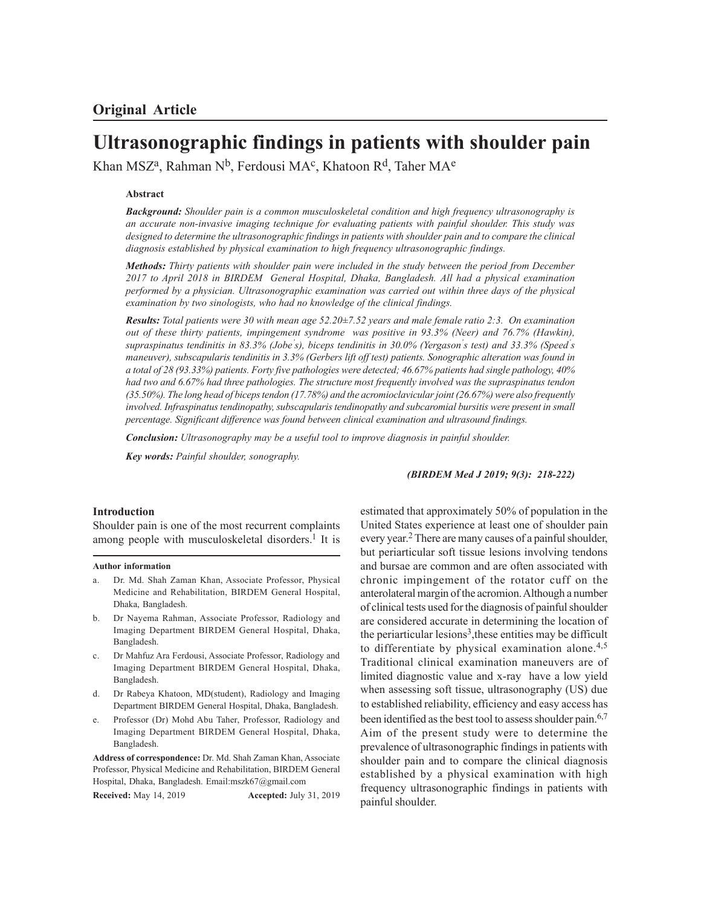# **Ultrasonographic findings in patients with shoulder pain**

Khan MSZª, Rahman Nʰ, Ferdousi MA¢, Khatoon Rʰ, Taher MAª

# **Abstract**

*Background: Shoulder pain is a common musculoskeletal condition and high frequency ultrasonography is an accurate non-invasive imaging technique for evaluating patients with painful shoulder. This study was designed to determine the ultrasonographic findings in patients with shoulder pain and to compare the clinical diagnosis established by physical examination to high frequency ultrasonographic findings.*

*Methods: Thirty patients with shoulder pain were included in the study between the period from December 2017 to April 2018 in BIRDEM General Hospital, Dhaka, Bangladesh. All had a physical examination performed by a physician. Ultrasonographic examination was carried out within three days of the physical examination by two sinologists, who had no knowledge of the clinical findings.*

*Results: Total patients were 30 with mean age 52.20±7.52 years and male female ratio 2:3. On examination out of these thirty patients, impingement syndrome was positive in 93.3% (Neer) and 76.7% (Hawkin), supraspinatus tendinitis in 83.3% (Jobe' s), biceps tendinitis in 30.0% (Yergason' s test) and 33.3% (Speed' s maneuver), subscapularis tendinitis in 3.3% (Gerbers lift off test) patients. Sonographic alteration was found in a total of 28 (93.33%) patients. Forty five pathologies were detected; 46.67% patients had single pathology, 40% had two and 6.67% had three pathologies. The structure most frequently involved was the supraspinatus tendon (35.50%). The long head of biceps tendon (17.78%) and the acromioclavicular joint (26.67%) were also frequently involved. Infraspinatus tendinopathy, subscapularis tendinopathy and subcaromial bursitis were present in small percentage. Significant difference was found between clinical examination and ultrasound findings.*

*Conclusion: Ultrasonography may be a useful tool to improve diagnosis in painful shoulder.*

*Key words: Painful shoulder, sonography.*

#### *(BIRDEM Med J 2019; 9(3): 218-222)*

### **Introduction**

Shoulder pain is one of the most recurrent complaints among people with musculoskeletal disorders.<sup>1</sup> It is

#### **Author information**

- a. Dr. Md. Shah Zaman Khan, Associate Professor, Physical Medicine and Rehabilitation, BIRDEM General Hospital, Dhaka, Bangladesh.
- b. Dr Nayema Rahman, Associate Professor, Radiology and Imaging Department BIRDEM General Hospital, Dhaka, Bangladesh.
- c. Dr Mahfuz Ara Ferdousi, Associate Professor, Radiology and Imaging Department BIRDEM General Hospital, Dhaka, Bangladesh.
- d. Dr Rabeya Khatoon, MD(student), Radiology and Imaging Department BIRDEM General Hospital, Dhaka, Bangladesh.
- e. Professor (Dr) Mohd Abu Taher, Professor, Radiology and Imaging Department BIRDEM General Hospital, Dhaka, Bangladesh.

**Address of correspondence:** Dr. Md. Shah Zaman Khan, Associate Professor, Physical Medicine and Rehabilitation, BIRDEM General Hospital, Dhaka, Bangladesh. Email:mszk67@gmail.com

**Received:** May 14, 2019 **Accepted:** July 31, 2019

estimated that approximately 50% of population in the United States experience at least one of shoulder pain every year. <sup>2</sup> There are many causes of a painful shoulder, but periarticular soft tissue lesions involving tendons and bursae are common and are often associated with chronic impingement of the rotator cuff on the anterolateral margin of the acromion. Although a number of clinical tests used for the diagnosis of painful shoulder are considered accurate in determining the location of the periarticular lesions<sup>3</sup>, these entities may be difficult to differentiate by physical examination alone. $4,5$ Traditional clinical examination maneuvers are of limited diagnostic value and x-ray have a low yield when assessing soft tissue, ultrasonography (US) due to established reliability, efficiency and easy access has been identified as the best tool to assess shoulder pain.<sup>6,7</sup> Aim of the present study were to determine the prevalence of ultrasonographic findings in patients with shoulder pain and to compare the clinical diagnosis established by a physical examination with high frequency ultrasonographic findings in patients with painful shoulder.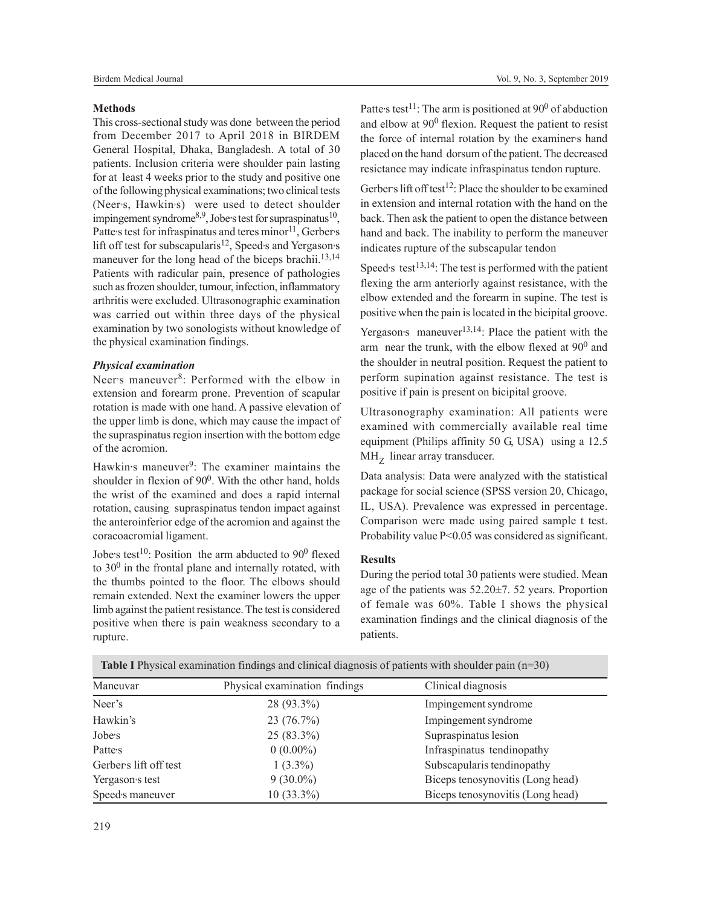#### **Methods**

This cross-sectional study was done between the period from December 2017 to April 2018 in BIRDEM General Hospital, Dhaka, Bangladesh. A total of 30 patients. Inclusion criteria were shoulder pain lasting for at least 4 weeks prior to the study and positive one of the following physical examinations; two clinical tests (Neer's, Hawkin's) were used to detect shoulder impingement syndrome<sup>8,9</sup>, Jobe<sup>,</sup> stest for supraspinatus<sup>10</sup>, Patte's test for infraspinatus and teres minor<sup>11</sup>, Gerber's lift off test for subscapularis<sup>12</sup>, Speed<sub>'</sub>s and Yergason's maneuver for the long head of the biceps brachii.<sup>13,14</sup> Patients with radicular pain, presence of pathologies such as frozen shoulder, tumour, infection, inflammatory arthritis were excluded. Ultrasonographic examination was carried out within three days of the physical examination by two sonologists without knowledge of the physical examination findings.

## *Physical examination*

Neer's maneuver<sup>8</sup>: Performed with the elbow in extension and forearm prone. Prevention of scapular rotation is made with one hand. A passive elevation of the upper limb is done, which may cause the impact of the supraspinatus region insertion with the bottom edge of the acromion.

Hawkin's maneuver<sup>9</sup>: The examiner maintains the shoulder in flexion of 90<sup>0</sup>. With the other hand, holds the wrist of the examined and does a rapid internal rotation, causing supraspinatus tendon impact against the anteroinferior edge of the acromion and against the coracoacromial ligament.

Jobe's test<sup>10</sup>: Position the arm abducted to  $90^0$  flexed to  $30^0$  in the frontal plane and internally rotated, with the thumbs pointed to the floor. The elbows should remain extended. Next the examiner lowers the upper limb against the patient resistance. The test is considered positive when there is pain weakness secondary to a rupture.

Patte's test<sup>11</sup>: The arm is positioned at  $90^0$  of abduction and elbow at  $90^0$  flexion. Request the patient to resist the force of internal rotation by the examiners hand placed on the hand dorsum of the patient. The decreased resictance may indicate infraspinatus tendon rupture.

Gerber's lift off test<sup>12</sup>: Place the shoulder to be examined in extension and internal rotation with the hand on the back. Then ask the patient to open the distance between hand and back. The inability to perform the maneuver indicates rupture of the subscapular tendon

Speed<sup>3</sup> test<sup>13,14</sup>: The test is performed with the patient flexing the arm anteriorly against resistance, with the elbow extended and the forearm in supine. The test is positive when the pain is located in the bicipital groove.

Yergason's maneuver<sup>13,14</sup>: Place the patient with the arm near the trunk, with the elbow flexed at  $90^0$  and the shoulder in neutral position. Request the patient to perform supination against resistance. The test is positive if pain is present on bicipital groove.

Ultrasonography examination: All patients were examined with commercially available real time equipment (Philips affinity 50 G, USA) using a 12.5 MH<sub>Z</sub> linear array transducer.

Data analysis: Data were analyzed with the statistical package for social science (SPSS version 20, Chicago, IL, USA). Prevalence was expressed in percentage. Comparison were made using paired sample t test. Probability value P<0.05 was considered as significant.

# **Results**

During the period total 30 patients were studied. Mean age of the patients was 52.20±7. 52 years. Proportion of female was 60%. Table I shows the physical examination findings and the clinical diagnosis of the patients.

| <b>Table I</b> Physical examination findings and clinical diagnosis of patients with shoulder pain $(n=30)$ |                               |                                  |  |  |  |  |
|-------------------------------------------------------------------------------------------------------------|-------------------------------|----------------------------------|--|--|--|--|
| Maneuvar                                                                                                    | Physical examination findings | Clinical diagnosis               |  |  |  |  |
| Neer's                                                                                                      | 28 (93.3%)                    | Impingement syndrome             |  |  |  |  |
| Hawkin's                                                                                                    | 23 (76.7%)                    | Impingement syndrome             |  |  |  |  |
| Jobe's                                                                                                      | 25 (83.3%)                    | Supraspinatus lesion             |  |  |  |  |
| Patte <sub>s</sub>                                                                                          | $0(0.00\%)$                   | Infraspinatus tendinopathy       |  |  |  |  |
| Gerbers lift off test                                                                                       | $1(3.3\%)$                    | Subscapularis tendinopathy       |  |  |  |  |
| Yergason's test                                                                                             | $9(30.0\%)$                   | Biceps tenosynovitis (Long head) |  |  |  |  |
| Speed's maneuver                                                                                            | $10(33.3\%)$                  | Biceps tenosynovitis (Long head) |  |  |  |  |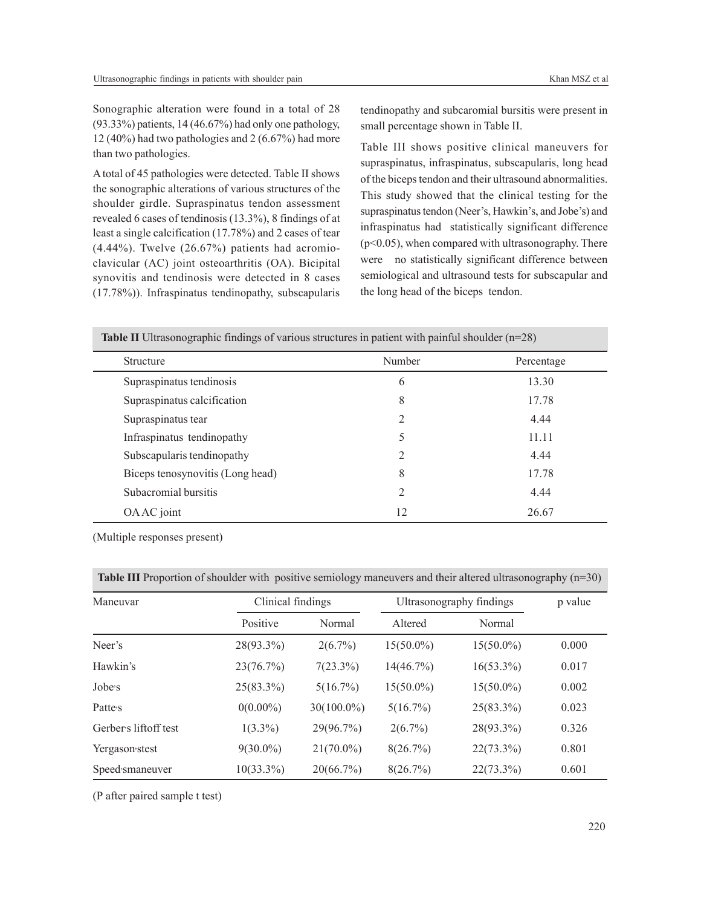Sonographic alteration were found in a total of 28 (93.33%) patients, 14 (46.67%) had only one pathology, 12 (40%) had two pathologies and 2 (6.67%) had more than two pathologies.

A total of 45 pathologies were detected. Table II shows the sonographic alterations of various structures of the shoulder girdle. Supraspinatus tendon assessment revealed 6 cases of tendinosis (13.3%), 8 findings of at least a single calcification (17.78%) and 2 cases of tear (4.44%). Twelve (26.67%) patients had acromioclavicular (AC) joint osteoarthritis (OA). Bicipital synovitis and tendinosis were detected in 8 cases (17.78%)). Infraspinatus tendinopathy, subscapularis

tendinopathy and subcaromial bursitis were present in small percentage shown in Table II.

Table III shows positive clinical maneuvers for supraspinatus, infraspinatus, subscapularis, long head of the biceps tendon and their ultrasound abnormalities. This study showed that the clinical testing for the supraspinatus tendon (Neer's, Hawkin's, and Jobe's) and infraspinatus had statistically significant difference (p<0.05), when compared with ultrasonography. There were no statistically significant difference between semiological and ultrasound tests for subscapular and the long head of the biceps tendon.

**Table II** Ultrasonographic findings of various structures in patient with painful shoulder (n=28)

| Structure                        | Number         | Percentage |  |
|----------------------------------|----------------|------------|--|
| Supraspinatus tendinosis         | 6              | 13.30      |  |
| Supraspinatus calcification      | 8              | 17.78      |  |
| Supraspinatus tear               | $\overline{2}$ | 4.44       |  |
| Infraspinatus tendinopathy       | 5              | 11.11      |  |
| Subscapularis tendinopathy       | 2              | 4.44       |  |
| Biceps tenosynovitis (Long head) | 8              | 17.78      |  |
| Subacromial bursitis             | 2              | 4.44       |  |
| OA AC joint                      | 12             | 26.67      |  |

(Multiple responses present)

**Table III** Proportion of shoulder with positive semiology maneuvers and their altered ultrasonography (n=30)

| Maneuvar             | Clinical findings |              | Ultrasonography findings |              | p value |
|----------------------|-------------------|--------------|--------------------------|--------------|---------|
|                      | Positive          | Normal       | Altered                  | Normal       |         |
| Neer's               | 28(93.3%)         | $2(6.7\%)$   | $15(50.0\%)$             | $15(50.0\%)$ | 0.000   |
| Hawkin's             | 23(76.7%)         | $7(23.3\%)$  | 14(46.7%)                | $16(53.3\%)$ | 0.017   |
| Jobe's               | $25(83.3\%)$      | 5(16.7%)     | $15(50.0\%)$             | $15(50.0\%)$ | 0.002   |
| Patte <sub>s</sub>   | $0(0.00\%)$       | 30(100.0%)   | 5(16.7%)                 | 25(83.3%)    | 0.023   |
| Gerbers liftoff test | $1(3.3\%)$        | 29(96.7%)    | $2(6.7\%)$               | 28(93.3%)    | 0.326   |
| Yergason stest       | $9(30.0\%)$       | $21(70.0\%)$ | 8(26.7%)                 | $22(73.3\%)$ | 0.801   |
| Speed smaneuver      | $10(33.3\%)$      | 20(66.7%)    | 8(26.7%)                 | $22(73.3\%)$ | 0.601   |

(P after paired sample t test)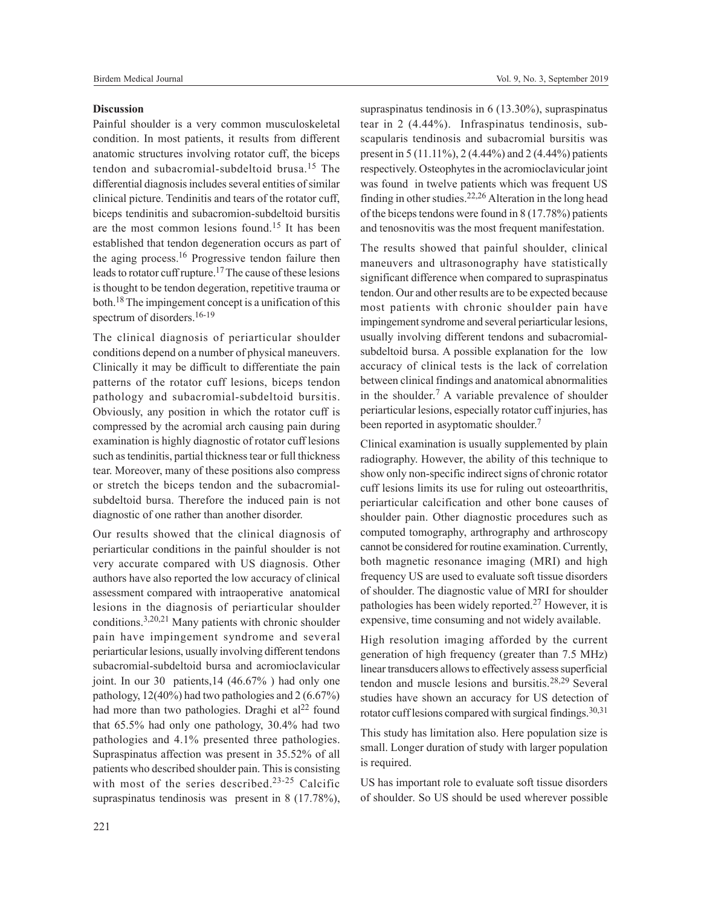# **Discussion**

Painful shoulder is a very common musculoskeletal condition. In most patients, it results from different anatomic structures involving rotator cuff, the biceps tendon and subacromial-subdeltoid brusa.<sup>15</sup> The differential diagnosis includes several entities of similar clinical picture. Tendinitis and tears of the rotator cuff, biceps tendinitis and subacromion-subdeltoid bursitis are the most common lesions found.<sup>15</sup> It has been established that tendon degeneration occurs as part of the aging process.<sup>16</sup> Progressive tendon failure then leads to rotator cuff rupture.17 The cause of these lesions is thought to be tendon degeration, repetitive trauma or both.18 The impingement concept is a unification of this spectrum of disorders.<sup>16-19</sup>

The clinical diagnosis of periarticular shoulder conditions depend on a number of physical maneuvers. Clinically it may be difficult to differentiate the pain patterns of the rotator cuff lesions, biceps tendon pathology and subacromial-subdeltoid bursitis. Obviously, any position in which the rotator cuff is compressed by the acromial arch causing pain during examination is highly diagnostic of rotator cuff lesions such as tendinitis, partial thickness tear or full thickness tear. Moreover, many of these positions also compress or stretch the biceps tendon and the subacromialsubdeltoid bursa. Therefore the induced pain is not diagnostic of one rather than another disorder.

Our results showed that the clinical diagnosis of periarticular conditions in the painful shoulder is not very accurate compared with US diagnosis. Other authors have also reported the low accuracy of clinical assessment compared with intraoperative anatomical lesions in the diagnosis of periarticular shoulder conditions.3,20,21 Many patients with chronic shoulder pain have impingement syndrome and several periarticular lesions, usually involving different tendons subacromial-subdeltoid bursa and acromioclavicular joint. In our 30 patients,14 (46.67% ) had only one pathology, 12(40%) had two pathologies and 2 (6.67%) had more than two pathologies. Draghi et al<sup>22</sup> found that 65.5% had only one pathology, 30.4% had two pathologies and 4.1% presented three pathologies. Supraspinatus affection was present in 35.52% of all patients who described shoulder pain. This is consisting with most of the series described.<sup>23-25</sup> Calcific supraspinatus tendinosis was present in 8 (17.78%),

supraspinatus tendinosis in 6 (13.30%), supraspinatus tear in 2 (4.44%). Infraspinatus tendinosis, subscapularis tendinosis and subacromial bursitis was present in 5 (11.11%), 2 (4.44%) and 2 (4.44%) patients respectively. Osteophytes in the acromioclavicular joint was found in twelve patients which was frequent US finding in other studies.22,26 Alteration in the long head of the biceps tendons were found in 8 (17.78%) patients and tenosnovitis was the most frequent manifestation.

The results showed that painful shoulder, clinical maneuvers and ultrasonography have statistically significant difference when compared to supraspinatus tendon. Our and other results are to be expected because most patients with chronic shoulder pain have impingement syndrome and several periarticular lesions, usually involving different tendons and subacromialsubdeltoid bursa. A possible explanation for the low accuracy of clinical tests is the lack of correlation between clinical findings and anatomical abnormalities in the shoulder.<sup>7</sup> A variable prevalence of shoulder periarticular lesions, especially rotator cuff injuries, has been reported in asyptomatic shoulder.<sup>7</sup>

Clinical examination is usually supplemented by plain radiography. However, the ability of this technique to show only non-specific indirect signs of chronic rotator cuff lesions limits its use for ruling out osteoarthritis, periarticular calcification and other bone causes of shoulder pain. Other diagnostic procedures such as computed tomography, arthrography and arthroscopy cannot be considered for routine examination. Currently, both magnetic resonance imaging (MRI) and high frequency US are used to evaluate soft tissue disorders of shoulder. The diagnostic value of MRI for shoulder pathologies has been widely reported.27 However, it is expensive, time consuming and not widely available.

High resolution imaging afforded by the current generation of high frequency (greater than 7.5 MHz) linear transducers allows to effectively assess superficial tendon and muscle lesions and bursitis.28,29 Several studies have shown an accuracy for US detection of rotator cuff lesions compared with surgical findings.<sup>30,31</sup>

This study has limitation also. Here population size is small. Longer duration of study with larger population is required.

US has important role to evaluate soft tissue disorders of shoulder. So US should be used wherever possible